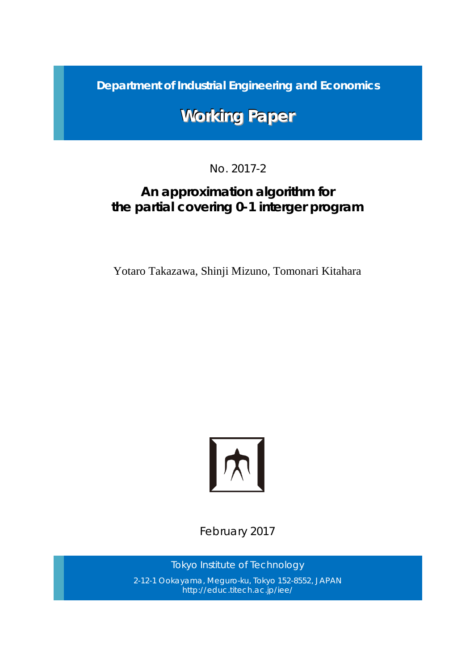*Department of Industrial Engineering and Economics*

# **Working Paper**

## No. 2017-2

## *An approximation algorithm for the partial covering 0-1 interger program*

Yotaro Takazawa, Shinji Mizuno, Tomonari Kitahara



February 2017

*Tokyo Institute of Technology* 2-12-1 Ookayama, Meguro-ku, Tokyo 152-8552, JAPAN http://educ.titech.ac.jp/iee/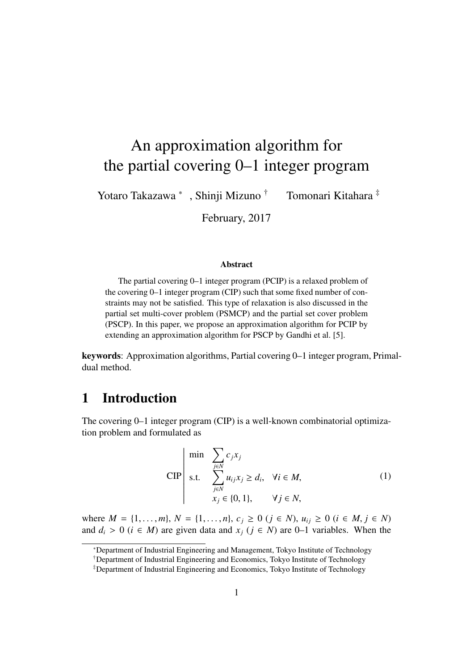# An approximation algorithm for the partial covering 0–1 integer program

Yotaro Takazawa <sup>∗</sup> Tomonari Kitahara <sup>‡</sup>

February, 2017

#### Abstract

The partial covering 0–1 integer program (PCIP) is a relaxed problem of the covering 0–1 integer program (CIP) such that some fixed number of constraints may not be satisfied. This type of relaxation is also discussed in the partial set multi-cover problem (PSMCP) and the partial set cover problem (PSCP). In this paper, we propose an approximation algorithm for PCIP by extending an approximation algorithm for PSCP by Gandhi et al. [5].

keywords: Approximation algorithms, Partial covering 0–1 integer program, Primaldual method.

### 1 Introduction

The covering 0–1 integer program (CIP) is a well-known combinatorial optimization problem and formulated as

$$
\text{CIP}\n\begin{vmatrix}\n\min \sum_{j \in N} c_j x_j \\
\text{s.t.} \sum_{j \in N} u_{ij} x_j \ge d_i, & \forall i \in M, \\
x_j \in \{0, 1\}, & \forall j \in N,\n\end{vmatrix} \tag{1}
$$

where  $M = \{1, \ldots, m\}$ ,  $N = \{1, \ldots, n\}$ ,  $c_j \geq 0$  ( $j \in N$ ),  $u_{ij} \geq 0$  ( $i \in M, j \in N$ ) and  $d_i$  > 0 ( $i \in M$ ) are given data and  $x_j$  ( $j \in N$ ) are 0–1 variables. When the

<sup>∗</sup>Department of Industrial Engineering and Management, Tokyo Institute of Technology

<sup>†</sup>Department of Industrial Engineering and Economics, Tokyo Institute of Technology

<sup>‡</sup>Department of Industrial Engineering and Economics, Tokyo Institute of Technology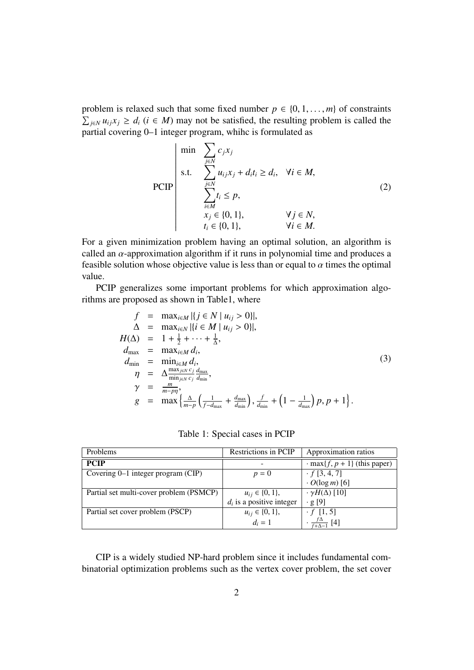problem is relaxed such that some fixed number  $p \in \{0, 1, \ldots, m\}$  of constraints  $\sum_{j \in N} u_{ij} x_j \geq d_i$  (*i* ∈ *M*) may not be satisfied, the resulting problem is called the partial covering 0–1 integer program, whihc is formulated as

$$
\text{PCIP}\begin{array}{|l|}\n\hline\n\text{min} & \sum_{j \in N} c_j x_j \\
\text{s.t.} & \sum_{j \in N} u_{ij} x_j + d_i t_i \ge d_i, \quad \forall i \in M, \\
& \sum_{i \in M} t_i \le p, \\
& x_j \in \{0, 1\}, \\
& t_i \in \{0, 1\}, \\
& \forall j \in N,\n\end{array}\n\tag{2}
$$

For a given minimization problem having an optimal solution, an algorithm is called an  $\alpha$ -approximation algorithm if it runs in polynomial time and produces a feasible solution whose objective value is less than or equal to  $\alpha$  times the optimal value.

PCIP generalizes some important problems for which approximation algorithms are proposed as shown in Table1, where

$$
f = \max_{i \in N} |\{j \in N \mid u_{ij} > 0\}|,
$$
  
\n
$$
\Delta = \max_{i \in N} |\{i \in M \mid u_{ij} > 0\}|,
$$
  
\n
$$
H(\Delta) = 1 + \frac{1}{2} + \dots + \frac{1}{\Delta},
$$
  
\n
$$
d_{\max} = \max_{i \in M} d_i,
$$
  
\n
$$
d_{\min} = \min_{i \in M} d_i,
$$
  
\n
$$
\eta = \Delta \frac{\max_{j \in N} c_j}{\min_{j \in N} c_j} \frac{d_{\max}}{d_{\min}},
$$
  
\n
$$
\gamma = \frac{m}{m - p\eta},
$$
  
\n
$$
g = \max \left\{ \frac{\Delta}{m - p} \left( \frac{1}{f - d_{\max}} + \frac{d_{\max}}{d_{\min}} \right), \frac{f}{d_{\min}} + \left( 1 - \frac{1}{d_{\max}} \right) p, p + 1 \right\}.
$$
\n(3)

|  | Table 1: Special cases in PCIP |  |  |
|--|--------------------------------|--|--|
|--|--------------------------------|--|--|

| Problems                                | Restrictions in PCIP        | Approximation ratios                    |
|-----------------------------------------|-----------------------------|-----------------------------------------|
| <b>PCIP</b>                             |                             | $\cdot$ max $\{f, p + 1\}$ (this paper) |
| Covering 0–1 integer program (CIP)      | $p=0$                       | $\cdot f[3, 4, 7]$                      |
|                                         |                             | $\cdot$ O(log m) [6]                    |
| Partial set multi-cover problem (PSMCP) | $u_{ij} \in \{0, 1\},\$     | $\cdot \gamma H(\Delta)$ [10]           |
|                                         | $d_i$ is a positive integer | $\cdot$ g [9]                           |
| Partial set cover problem (PSCP)        | $u_{ij} \in \{0, 1\},\$     | $\cdot f$ [1, 5]                        |
|                                         | $d_i = 1$                   | $\frac{\Delta}{\sqrt{1}}$ [4]           |

CIP is a widely studied NP-hard problem since it includes fundamental combinatorial optimization problems such as the vertex cover problem, the set cover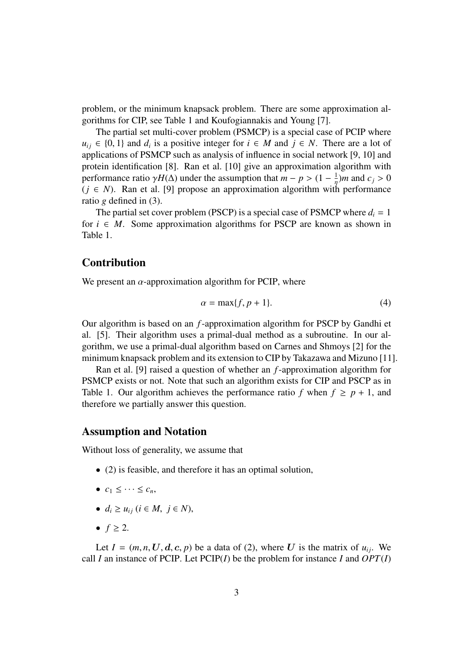problem, or the minimum knapsack problem. There are some approximation algorithms for CIP, see Table 1 and Koufogiannakis and Young [7].

The partial set multi-cover problem (PSMCP) is a special case of PCIP where *u*<sub>ij</sub> ∈ {0, 1} and *d<sub>i</sub>* is a positive integer for  $i \in M$  and  $j \in N$ . There are a lot of applications of PSMCP such as analysis of influence in social network [9, 10] and protein identification [8]. Ran et al. [10] give an approximation algorithm with performance ratio  $\gamma H(\Delta)$  under the assumption that  $m - p > (1 - \frac{1}{n})$  $\frac{1}{\eta}$ )*m* and *c*<sub>*j*</sub> > 0  $(j \in N)$ . Ran et al. [9] propose an approximation algorithm with performance ratio *g* defined in (3).

The partial set cover problem (PSCP) is a special case of PSMCP where  $d_i = 1$ for  $i \in M$ . Some approximation algorithms for PSCP are known as shown in Table 1.

### Contribution

We present an  $\alpha$ -approximation algorithm for PCIP, where

$$
\alpha = \max\{f, p+1\}.\tag{4}
$$

Our algorithm is based on an *f*-approximation algorithm for PSCP by Gandhi et al. [5]. Their algorithm uses a primal-dual method as a subroutine. In our algorithm, we use a primal-dual algorithm based on Carnes and Shmoys [2] for the minimum knapsack problem and its extension to CIP by Takazawa and Mizuno [11].

Ran et al. [9] raised a question of whether an *f*-approximation algorithm for PSMCP exists or not. Note that such an algorithm exists for CIP and PSCP as in Table 1. Our algorithm achieves the performance ratio *f* when  $f \geq p + 1$ , and therefore we partially answer this question.

#### Assumption and Notation

Without loss of generality, we assume that

- (2) is feasible, and therefore it has an optimal solution,
- $\bullet$   $c_1 \leq \cdots \leq c_n$
- $d_i \geq u_{ij}$  ( $i \in M, j \in N$ ),
- $f \geq 2$ .

Let  $I = (m, n, U, d, c, p)$  be a data of (2), where U is the matrix of  $u_{ii}$ . We call *I* an instance of PCIP. Let PCIP(*I*) be the problem for instance *I* and *OPT*(*I*)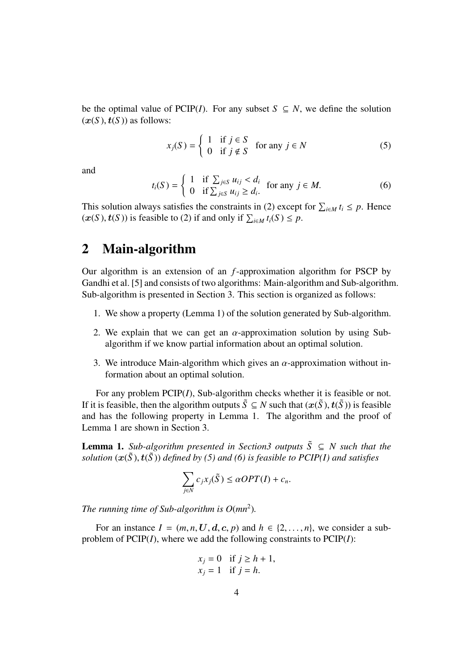be the optimal value of PCIP(*I*). For any subset  $S \subseteq N$ , we define the solution  $(x(S), t(S))$  as follows:

$$
x_j(S) = \begin{cases} 1 & \text{if } j \in S \\ 0 & \text{if } j \notin S \end{cases} \text{ for any } j \in N
$$
 (5)

and

$$
t_i(S) = \begin{cases} 1 & \text{if } \sum_{j \in S} u_{ij} < d_i \\ 0 & \text{if } \sum_{j \in S} u_{ij} \ge d_i. \end{cases} \quad \text{for any } j \in M. \tag{6}
$$

This solution always satisfies the constraints in (2) except for  $\sum_{i \in M} t_i \leq p$ . Hence  $(x(S), t(S))$  is feasible to (2) if and only if  $\sum_{i \in M} t_i(S) \le p$ .

### 2 Main-algorithm

Our algorithm is an extension of an *f*-approximation algorithm for PSCP by Gandhi et al. [5] and consists of two algorithms: Main-algorithm and Sub-algorithm. Sub-algorithm is presented in Section 3. This section is organized as follows:

- 1. We show a property (Lemma 1) of the solution generated by Sub-algorithm.
- 2. We explain that we can get an  $\alpha$ -approximation solution by using Subalgorithm if we know partial information about an optimal solution.
- 3. We introduce Main-algorithm which gives an  $\alpha$ -approximation without information about an optimal solution.

For any problem PCIP(*I*), Sub-algorithm checks whether it is feasible or not. If it is feasible, then the algorithm outputs  $\tilde{S} \subseteq N$  such that  $(x(\tilde{S}), t(\tilde{S}))$  is feasible and has the following property in Lemma 1. The algorithm and the proof of Lemma 1 are shown in Section 3.

**Lemma 1.** *Sub-algorithm presented in Section3 outputs*  $\tilde{S} \subseteq N$  *such that the solution*  $(x(\tilde{S}), t(\tilde{S}))$  *defined by (5) and (6) is feasible to PCIP(I) and satisfies* 

$$
\sum_{j\in N} c_j x_j(\tilde{S}) \le \alpha OPT(I) + c_n.
$$

The running time of Sub-algorithm is  $O(mn^2)$ .

For an instance  $I = (m, n, U, d, c, p)$  and  $h \in \{2, ..., n\}$ , we consider a subproblem of PCIP(*I*), where we add the following constraints to PCIP(*I*):

$$
x_j = 0 \quad \text{if } j \ge h + 1,
$$
  

$$
x_j = 1 \quad \text{if } j = h.
$$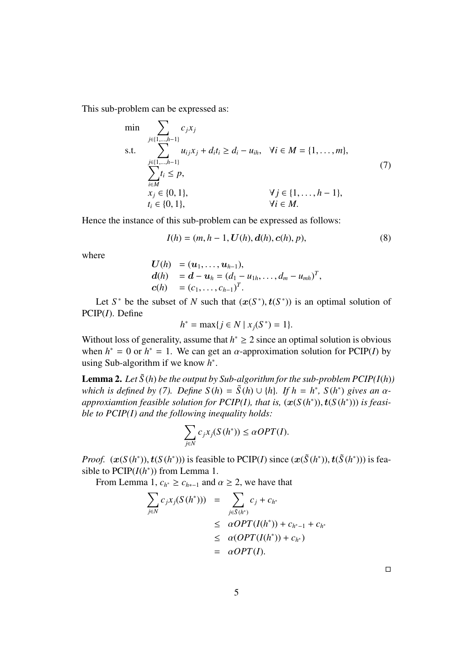This sub-problem can be expressed as:

min  
\n
$$
\sum_{j \in \{1, \dots, h-1\}} c_j x_j
$$
\ns.t.  
\n
$$
\sum_{\substack{j \in \{1, \dots, h-1\} \\ \sum_{i \in M} t_i \le p, \\ x_j \in \{0, 1\},}} a_{ij} x_j + d_i t_i \ge d_i - u_{ih}, \quad \forall i \in M = \{1, \dots, m\},
$$
\n(7)  
\n
$$
\sum_{i \in M} t_i \le p,
$$
\n
$$
\forall j \in \{1, \dots, h-1\},
$$
\n
$$
t_i \in \{0, 1\}, \quad \forall i \in M.
$$

Hence the instance of this sub-problem can be expressed as follows:

$$
I(h) = (m, h-1, \mathbf{U}(h), \mathbf{d}(h), \mathbf{c}(h), p),
$$
\n(8)

where

$$
U(h) = (u_1, ..., u_{h-1}),
$$
  
\n
$$
d(h) = d - u_h = (d_1 - u_{1h}, ..., d_m - u_{mh})^T,
$$
  
\n
$$
c(h) = (c_1, ..., c_{h-1})^T.
$$

Let  $S^*$  be the subset of *N* such that  $(x(S^*), t(S^*))$  is an optimal solution of PCIP(*I*). Define

$$
h^* = \max\{j \in N \mid x_j(S^*) = 1\}.
$$

Without loss of generality, assume that  $h^* \geq 2$  since an optimal solution is obvious when  $h^* = 0$  or  $h^* = 1$ . We can get an  $\alpha$ -approximation solution for PCIP(*I*) by using Sub-algorithm if we know *h* ∗ .

**Lemma 2.** Let  $\tilde{S}(h)$  be the output by Sub-algorithm for the sub-problem  $PCIP(I(h))$ *which is defined by (7). Define*  $S(h) = \tilde{S}(h) \cup \{h\}$ *. If*  $h = h^*$ *,*  $S(h^*)$  gives an  $\alpha$ *approxiamtion feasible solution for PCIP(I), that is,*  $(x(S(h^*)), t(S(h^*)))$  *is feasible to PCIP(I) and the following inequality holds:*

$$
\sum_{j\in N}c_jx_j(S(h^*))\leq \alpha OPT(I).
$$

*Proof.*  $(\mathbf{x}(S(h^*)), \mathbf{t}(S(h^*)))$  is feasible to PCIP(*I*) since  $(\mathbf{x}(\tilde{S}(h^*)), \mathbf{t}(\tilde{S}(h^*)))$  is feasible to  $PCIP(I(h^*))$  from Lemma 1.

From Lemma 1,  $c_{h^*} \geq c_{h^*-1}$  and  $\alpha \geq 2$ , we have that

$$
\sum_{j \in N} c_j x_j (S(h^*))) = \sum_{j \in \tilde{S}(h^*)} c_j + c_{h^*}
$$
\n
$$
\leq \alpha OPT(I(h^*)) + c_{h^*-1} + c_{h^*}
$$
\n
$$
\leq \alpha (OPT(I(h^*)) + c_{h^*})
$$
\n
$$
= \alpha OPT(I).
$$

□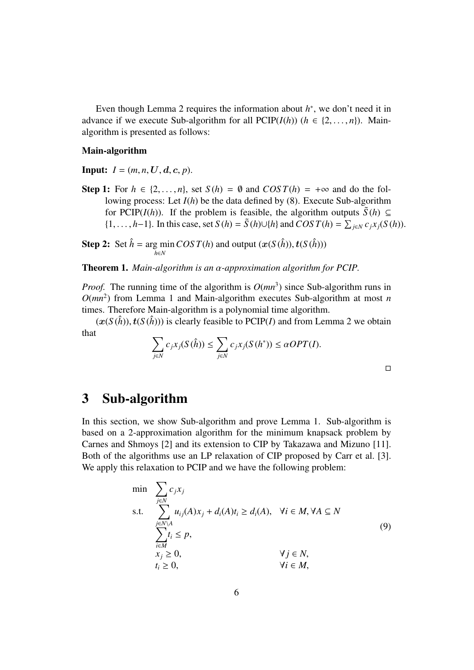Even though Lemma 2 requires the information about  $h^*$ , we don't need it in advance if we execute Sub-algorithm for all  $PCIP(I(h))$  ( $h \in \{2, ..., n\}$ ). Mainalgorithm is presented as follows:

#### Main-algorithm

**Input:**  $I = (m, n, U, d, c, p)$ .

Step 1: For  $h \in \{2, ..., n\}$ , set  $S(h) = \emptyset$  and  $COST(h) = +\infty$  and do the following process: Let *I*(*h*) be the data defined by (8). Execute Sub-algorithm for PCIP(*I*(*h*)). If the problem is feasible, the algorithm outputs  $\tilde{S}(h) \subseteq$ {1,..., *h*−1}. In this case, set *S* (*h*) =  $\tilde{S}(h) \cup \{h\}$  and *COST*(*h*) =  $\sum_{j \in N} c_j x_j(S(h))$ .

**Step 2:** Set  $\hat{h}$  = arg min *COS T*(*h*) and output ( $x(S(\hat{h}))$ ,  $t(S(\hat{h}))$ ) *h*∈*N*

Theorem 1. *Main-algorithm is an* α*-approximation algorithm for PCIP.*

*Proof.* The running time of the algorithm is  $O(mn^3)$  since Sub-algorithm runs in  $O(mn^2)$  from Lemma 1 and Main-algorithm executes Sub-algorithm at most *n* times. Therefore Main-algorithm is a polynomial time algorithm.

 $(x(S(\hat{h}))$ ,  $t(S(\hat{h}))$ ) is clearly feasible to PCIP(*I*) and from Lemma 2 we obtain that

$$
\sum_{j \in N} c_j x_j(S(\hat{h})) \le \sum_{j \in N} c_j x_j(S(h^*)) \le \alpha OPT(I).
$$

□

### 3 Sub-algorithm

In this section, we show Sub-algorithm and prove Lemma 1. Sub-algorithm is based on a 2-approximation algorithm for the minimum knapsack problem by Carnes and Shmoys [2] and its extension to CIP by Takazawa and Mizuno [11]. Both of the algorithms use an LP relaxation of CIP proposed by Carr et al. [3]. We apply this relaxation to PCIP and we have the following problem:

$$
\min \sum_{j \in N} c_j x_j
$$
\n
$$
\text{s.t.} \sum_{\substack{j \in N \setminus A \\ i \in M}} u_{ij}(A) x_j + d_i(A) t_i \ge d_i(A), \quad \forall i \in M, \forall A \subseteq N
$$
\n
$$
\sum_{\substack{i \in M \\ x_j \ge 0,}} t_i \le p, \quad \forall j \in N, \quad \forall i \in M,
$$
\n(9)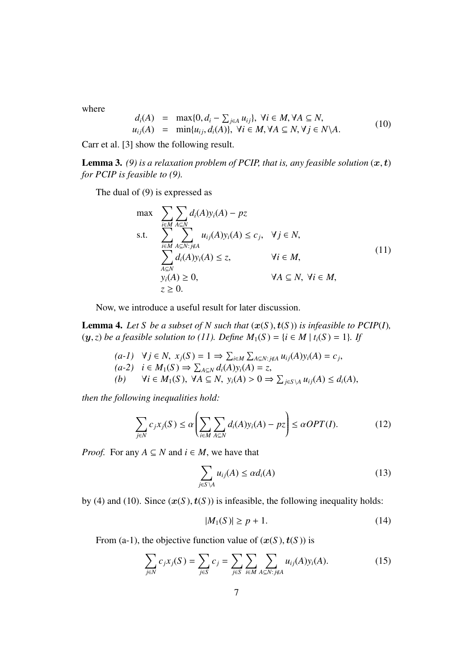where

$$
d_i(A) = \max\{0, d_i - \sum_{j \in A} u_{ij}\}, \forall i \in M, \forall A \subseteq N,
$$
  
\n
$$
u_{ij}(A) = \min\{u_{ij}, d_i(A)\}, \forall i \in M, \forall A \subseteq N, \forall j \in N \setminus A.
$$
 (10)

Carr et al. [3] show the following result.

**Lemma 3.** (9) is a relaxation problem of PCIP, that is, any feasible solution  $(x, t)$ *for PCIP is feasible to (9).*

The dual of (9) is expressed as

$$
\max \sum_{i \in M} \sum_{A \subseteq N} d_i(A) y_i(A) - pz
$$
\ns.t. 
$$
\sum_{i \in M} \sum_{A \subseteq N : j \notin A} u_{ij}(A) y_i(A) \le c_j, \quad \forall j \in N,
$$
\n
$$
\sum_{A \subseteq N} d_i(A) y_i(A) \le z, \quad \forall i \in M,
$$
\n
$$
y_i(A) \ge 0, \quad \forall A \subseteq N, \forall i \in M,
$$
\n
$$
z \ge 0.
$$
\n(11)

Now, we introduce a useful result for later discussion.

**Lemma 4.** Let *S* be a subset of *N* such that  $(x(S), t(S))$  is infeasible to PCIP(I), (*y*,*z*) *be a feasible solution to (11). Define*  $M_1(S) = \{i \in M \mid t_i(S) = 1\}$ *. If* 

\n- (a-1) 
$$
\forall j \in N
$$
,  $x_j(S) = 1 \Rightarrow \sum_{i \in M} \sum_{A \subseteq N : j \notin A} u_{ij}(A)y_i(A) = c_j$
\n- (a-2)  $i \in M_1(S) \Rightarrow \sum_{A \subseteq N} d_i(A)y_i(A) = z$
\n- (b)  $\forall i \in M_1(S)$ ,  $\forall A \subseteq N$ ,  $y_i(A) > 0 \Rightarrow \sum_{j \in S \setminus A} u_{ij}(A) \leq d_i(A)$
\n

*then the following inequalities hold:*

$$
\sum_{j \in N} c_j x_j(S) \le \alpha \left( \sum_{i \in M} \sum_{A \subseteq N} d_i(A) y_i(A) - pz \right) \le \alpha OPT(I). \tag{12}
$$

*Proof.* For any  $A \subseteq N$  and  $i \in M$ , we have that

$$
\sum_{j \in S \setminus A} u_{ij}(A) \le \alpha d_i(A) \tag{13}
$$

by (4) and (10). Since  $(x(S), t(S))$  is infeasible, the following inequality holds:

$$
|M_1(S)| \ge p + 1. \tag{14}
$$

From (a-1), the objective function value of  $(x(S), t(S))$  is

$$
\sum_{j \in N} c_j x_j(S) = \sum_{j \in S} c_j = \sum_{j \in S} \sum_{i \in M} \sum_{A \subseteq N: j \notin A} u_{ij}(A) y_i(A).
$$
 (15)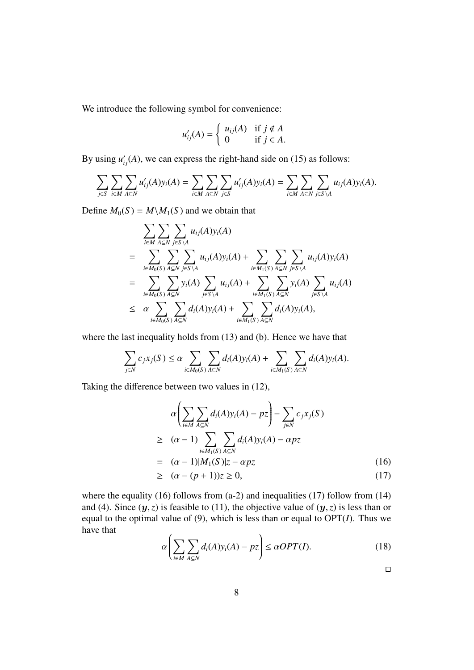We introduce the following symbol for convenience:

$$
u'_{ij}(A) = \begin{cases} u_{ij}(A) & \text{if } j \notin A \\ 0 & \text{if } j \in A. \end{cases}
$$

By using  $u'_{ij}(A)$ , we can express the right-hand side on (15) as follows:

$$
\sum_{j\in S}\sum_{i\in M}\sum_{A\subseteq N}u'_{ij}(A)y_i(A)=\sum_{i\in M}\sum_{A\subseteq N}\sum_{j\in S}u'_{ij}(A)y_i(A)=\sum_{i\in M}\sum_{A\subseteq N}\sum_{j\in S\setminus A}u_{ij}(A)y_i(A).
$$

Define  $M_0(S) = M \setminus M_1(S)$  and we obtain that

$$
\sum_{i \in M} \sum_{A \subseteq N} \sum_{j \in S \setminus A} u_{ij}(A) y_i(A)
$$
\n
$$
= \sum_{i \in M_0(S)} \sum_{A \subseteq N} \sum_{j \in S \setminus A} u_{ij}(A) y_i(A) + \sum_{i \in M_1(S)} \sum_{A \subseteq N} \sum_{j \in S \setminus A} u_{ij}(A) y_i(A)
$$
\n
$$
= \sum_{i \in M_0(S)} \sum_{A \subseteq N} y_i(A) \sum_{j \in S \setminus A} u_{ij}(A) + \sum_{i \in M_1(S)} \sum_{A \subseteq N} y_i(A) \sum_{j \in S \setminus A} u_{ij}(A)
$$
\n
$$
\leq \alpha \sum_{i \in M_0(S)} \sum_{A \subseteq N} d_i(A) y_i(A) + \sum_{i \in M_1(S)} \sum_{A \subseteq N} d_i(A) y_i(A),
$$

where the last inequality holds from (13) and (b). Hence we have that

$$
\sum_{j\in N}c_jx_j(S)\leq \alpha\sum_{i\in M_0(S)}\sum_{A\subseteq N}d_i(A)y_i(A)+\sum_{i\in M_1(S)}\sum_{A\subseteq N}d_i(A)y_i(A).
$$

Taking the difference between two values in (12),

$$
\alpha \left( \sum_{i \in M} \sum_{A \subseteq N} d_i(A) y_i(A) - pz \right) - \sum_{j \in N} c_j x_j(S)
$$
  
\n
$$
\geq (\alpha - 1) \sum_{i \in M_1(S)} \sum_{A \subseteq N} d_i(A) y_i(A) - \alpha pz
$$
  
\n
$$
= (\alpha - 1)|M_1(S)|z - \alpha pz \qquad (16)
$$

$$
\geq \quad (\alpha - (p+1))z \geq 0,\tag{17}
$$

where the equality  $(16)$  follows from  $(a-2)$  and inequalities  $(17)$  follow from  $(14)$ and (4). Since  $(y, z)$  is feasible to (11), the objective value of  $(y, z)$  is less than or equal to the optimal value of  $(9)$ , which is less than or equal to  $OPT(I)$ . Thus we have that

$$
\alpha \left( \sum_{i \in M} \sum_{A \subseteq N} d_i(A) y_i(A) - pz \right) \leq \alpha OPT(I). \tag{18}
$$

□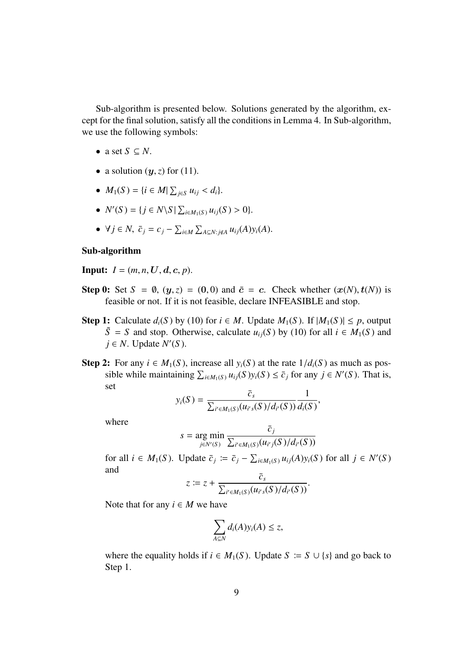Sub-algorithm is presented below. Solutions generated by the algorithm, except for the final solution, satisfy all the conditions in Lemma 4. In Sub-algorithm, we use the following symbols:

- a set  $S \subseteq N$ .
- a solution  $(y, z)$  for (11).
- $M_1(S) = \{i \in M | \sum_{j \in S} u_{ij} < d_i\}.$
- $N'(S) = \{ j \in N \setminus S \mid \sum_{i \in M_1(S)} u_{ij}(S) > 0 \}.$
- $\forall j \in \mathbb{N}, \ \bar{c}_j = c_j \sum_{i \in \mathbb{M}} \sum_{A \subseteq \mathbb{N}: j \notin A} u_{ij}(A) y_i(A).$

#### Sub-algorithm

**Input:**  $I = (m, n, U, d, c, p).$ 

- Step 0: Set  $S = \emptyset$ ,  $(y, z) = (0, 0)$  and  $\bar{c} = c$ . Check whether  $(x(N), t(N))$  is feasible or not. If it is not feasible, declare INFEASIBLE and stop.
- Step 1: Calculate  $d_i(S)$  by (10) for  $i \in M$ . Update  $M_1(S)$ . If  $|M_1(S)| \leq p$ , output  $\tilde{S}$  = *S* and stop. Otherwise, calculate  $u_{ij}(S)$  by (10) for all  $i \in M_1(S)$  and *j* ∈ *N*. Update *N*<sup>'</sup>(*S*).
- Step 2: For any  $i \in M_1(S)$ , increase all  $y_i(S)$  at the rate  $1/d_i(S)$  as much as possible while maintaining  $\sum_{i \in M_1(S)} u_{ij}(S) y_i(S) \le \bar{c}_j$  for any *j* ∈ *N*'(*S*). That is, set

$$
y_i(S) = \frac{\bar{c}_s}{\sum_{i' \in M_1(S)} (u_{i's}(S)/d_{i'}(S))} \frac{1}{d_i(S)},
$$

where

$$
s = \underset{j \in N'(S)}{\arg \min} \frac{c_j}{\sum_{i' \in M_1(S)} (u_{i'j}(S)/d_{i'}(S))}
$$

 $\overline{a}$ 

for all  $i \in M_1(S)$ . Update  $\overline{c}_j := \overline{c}_j - \sum_{i \in M_1(S)} u_{ij}(A) y_i(S)$  for all  $j \in N'(S)$ and *c*¯*s*

$$
z \coloneqq z + \frac{c_s}{\sum_{i' \in M_1(S)} (u_{i's}(S)/d_{i'}(S))}.
$$

Note that for any  $i \in M$  we have

$$
\sum_{A\subseteq N}d_i(A)y_i(A)\leq z,
$$

where the equality holds if  $i \in M_1(S)$ . Update  $S := S \cup \{s\}$  and go back to Step 1.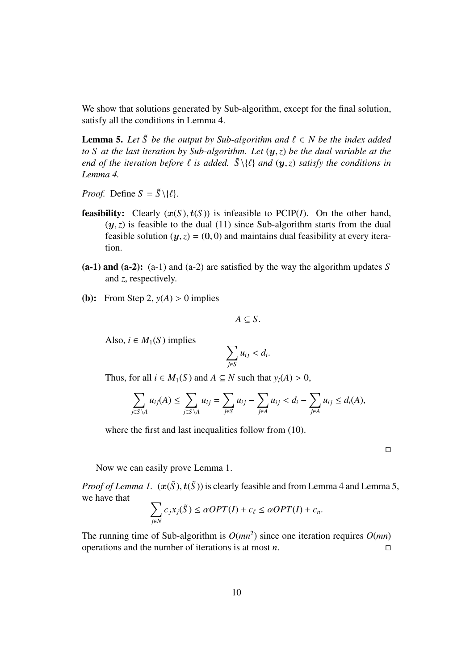We show that solutions generated by Sub-algorithm, except for the final solution, satisfy all the conditions in Lemma 4.

**Lemma 5.** Let  $\tilde{S}$  be the output by Sub-algorithm and  $\ell \in N$  be the index added *to S at the last iteration by Sub-algorithm. Let* (*y*,*z*) *be the dual variable at the end of the iteration before*  $\ell$  *is added.*  $\tilde{S} \setminus {\ell}$  *and*  $(y, z)$  *satisfy the conditions in Lemma 4.*

*Proof.* Define  $S = \tilde{S} \setminus \{ \ell \}.$ 

- **feasibility:** Clearly  $(x(S), t(S))$  is infeasible to PCIP(*I*). On the other hand,  $(y, z)$  is feasible to the dual (11) since Sub-algorithm starts from the dual feasible solution  $(y, z) = (0, 0)$  and maintains dual feasibility at every iteration.
- (a-1) and (a-2): (a-1) and (a-2) are satisfied by the way the algorithm updates *S* and *z*, respectively.
- (**b**): From Step 2,  $y(A) > 0$  implies

$$
A\subseteq S.
$$

Also,  $i \in M_1(S)$  implies

$$
\sum_{j\in S}u_{ij}
$$

Thus, for all  $i \in M_1(S)$  and  $A \subseteq N$  such that  $y_i(A) > 0$ ,

$$
\sum_{j\in S\setminus A}u_{ij}(A)\leq \sum_{j\in S\setminus A}u_{ij}=\sum_{j\in S}u_{ij}-\sum_{j\in A}u_{ij}
$$

where the first and last inequalities follow from (10).

 $\Box$ 

Now we can easily prove Lemma 1.

*Proof of Lemma 1.*  $(x(\tilde{S}), t(\tilde{S}))$  is clearly feasible and from Lemma 4 and Lemma 5, we have that

$$
\sum_{j\in N} c_j x_j(\tilde{S}) \le \alpha OPT(I) + c_\ell \le \alpha OPT(I) + c_n.
$$

The running time of Sub-algorithm is  $O(mn^2)$  since one iteration requires  $O(mn)$ operations and the number of iterations is at most  $n$ . □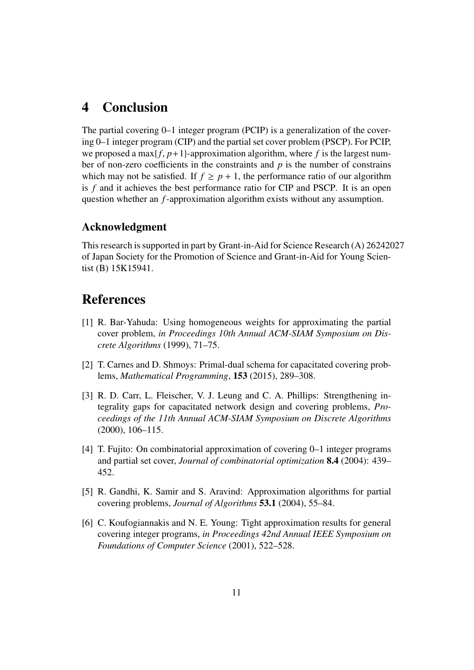### 4 Conclusion

The partial covering 0–1 integer program (PCIP) is a generalization of the covering 0–1 integer program (CIP) and the partial set cover problem (PSCP). For PCIP, we proposed a max $\{f, p+1\}$ -approximation algorithm, where f is the largest number of non-zero coefficients in the constraints and *p* is the number of constrains which may not be satisfied. If  $f \geq p + 1$ , the performance ratio of our algorithm is *f* and it achieves the best performance ratio for CIP and PSCP. It is an open question whether an *f*-approximation algorithm exists without any assumption.

### Acknowledgment

This research is supported in part by Grant-in-Aid for Science Research (A) 26242027 of Japan Society for the Promotion of Science and Grant-in-Aid for Young Scientist (B) 15K15941.

### References

- [1] R. Bar-Yahuda: Using homogeneous weights for approximating the partial cover problem, *in Proceedings 10th Annual ACM-SIAM Symposium on Discrete Algorithms* (1999), 71–75.
- [2] T. Carnes and D. Shmoys: Primal-dual schema for capacitated covering problems, *Mathematical Programming*, 153 (2015), 289–308.
- [3] R. D. Carr, L. Fleischer, V. J. Leung and C. A. Phillips: Strengthening integrality gaps for capacitated network design and covering problems, *Proceedings of the 11th Annual ACM-SIAM Symposium on Discrete Algorithms* (2000), 106–115.
- [4] T. Fujito: On combinatorial approximation of covering 0–1 integer programs and partial set cover, *Journal of combinatorial optimization* 8.4 (2004): 439– 452.
- [5] R. Gandhi, K. Samir and S. Aravind: Approximation algorithms for partial covering problems, *Journal of Algorithms* 53.1 (2004), 55–84.
- [6] C. Koufogiannakis and N. E. Young: Tight approximation results for general covering integer programs, *in Proceedings 42nd Annual IEEE Symposium on Foundations of Computer Science* (2001), 522–528.